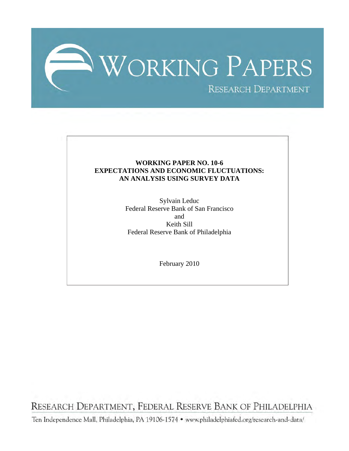

#### **WORKING PAPER NO. 10-6 EXPECTATIONS AND ECONOMIC FLUCTUATIONS: AN ANALYSIS USING SURVEY DATA**

Sylvain Leduc Federal Reserve Bank of San Francisco and Keith Sill Federal Reserve Bank of Philadelphia

February 2010

RESEARCH DEPARTMENT, FEDERAL RESERVE BANK OF PHILADELPHIA

Ten Independence Mall, Philadelphia, PA 19106-1574 · www.philadelphiafed.org/research-and-data/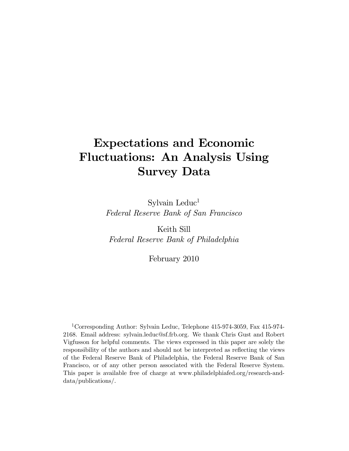# Expectations and Economic Fluctuations: An Analysis Using Survey Data

Sylvain Leduc<sup>1</sup> Federal Reserve Bank of San Francisco

Keith Sill Federal Reserve Bank of Philadelphia

February 2010

1Corresponding Author: Sylvain Leduc, Telephone 415-974-3059, Fax 415-974- 2168. Email address: sylvain.leduc@sf.frb.org. We thank Chris Gust and Robert Vigfusson for helpful comments. The views expressed in this paper are solely the responsibility of the authors and should not be interpreted as reflecting the views of the Federal Reserve Bank of Philadelphia, the Federal Reserve Bank of San Francisco, or of any other person associated with the Federal Reserve System. This paper is available free of charge at www.philadelphiafed.org/research-anddata/publications/.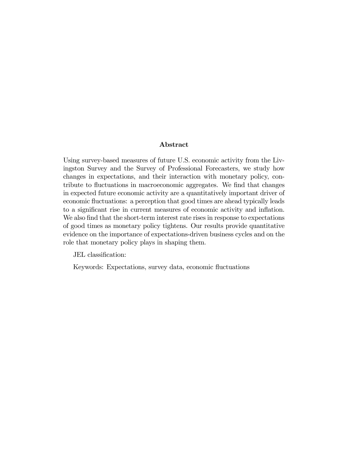#### Abstract

Using survey-based measures of future U.S. economic activity from the Livingston Survey and the Survey of Professional Forecasters, we study how changes in expectations, and their interaction with monetary policy, contribute to fluctuations in macroeconomic aggregates. We find that changes in expected future economic activity are a quantitatively important driver of economic fluctuations: a perception that good times are ahead typically leads to a significant rise in current measures of economic activity and inflation. We also find that the short-term interest rate rises in response to expectations of good times as monetary policy tightens. Our results provide quantitative evidence on the importance of expectations-driven business cycles and on the role that monetary policy plays in shaping them.

JEL classification:

Keywords: Expectations, survey data, economic fluctuations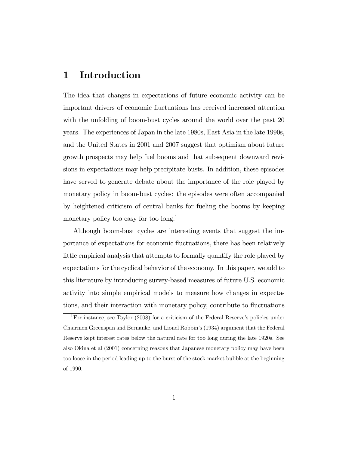### 1 Introduction

The idea that changes in expectations of future economic activity can be important drivers of economic fluctuations has received increased attention with the unfolding of boom-bust cycles around the world over the past 20 years. The experiences of Japan in the late 1980s, East Asia in the late 1990s, and the United States in 2001 and 2007 suggest that optimism about future growth prospects may help fuel booms and that subsequent downward revisions in expectations may help precipitate busts. In addition, these episodes have served to generate debate about the importance of the role played by monetary policy in boom-bust cycles: the episodes were often accompanied by heightened criticism of central banks for fueling the booms by keeping monetary policy too easy for too long.<sup>1</sup>

Although boom-bust cycles are interesting events that suggest the importance of expectations for economic fluctuations, there has been relatively little empirical analysis that attempts to formally quantify the role played by expectations for the cyclical behavior of the economy. In this paper, we add to this literature by introducing survey-based measures of future U.S. economic activity into simple empirical models to measure how changes in expectations, and their interaction with monetary policy, contribute to fluctuations

<sup>&</sup>lt;sup>1</sup>For instance, see Taylor  $(2008)$  for a criticism of the Federal Reserve's policies under Chairmen Greenspan and Bernanke, and Lionel Robbin's (1934) argument that the Federal Reserve kept interest rates below the natural rate for too long during the late 1920s. See also Okina et al (2001) concerning reasons that Japanese monetary policy may have been too loose in the period leading up to the burst of the stock-market bubble at the beginning of 1990.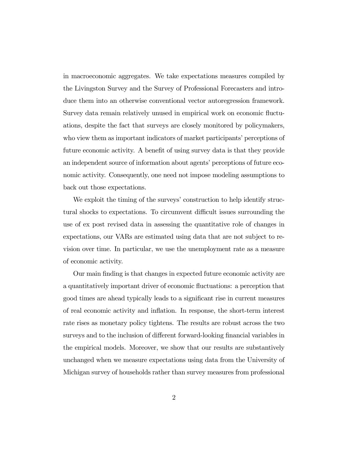in macroeconomic aggregates. We take expectations measures compiled by the Livingston Survey and the Survey of Professional Forecasters and introduce them into an otherwise conventional vector autoregression framework. Survey data remain relatively unused in empirical work on economic fluctuations, despite the fact that surveys are closely monitored by policymakers, who view them as important indicators of market participants' perceptions of future economic activity. A benefit of using survey data is that they provide an independent source of information about agents' perceptions of future economic activity. Consequently, one need not impose modeling assumptions to back out those expectations.

We exploit the timing of the surveys' construction to help identify structural shocks to expectations. To circumvent difficult issues surrounding the use of ex post revised data in assessing the quantitative role of changes in expectations, our VARs are estimated using data that are not subject to revision over time. In particular, we use the unemployment rate as a measure of economic activity.

Our main finding is that changes in expected future economic activity are a quantitatively important driver of economic fluctuations: a perception that good times are ahead typically leads to a significant rise in current measures of real economic activity and inflation. In response, the short-term interest rate rises as monetary policy tightens. The results are robust across the two surveys and to the inclusion of different forward-looking financial variables in the empirical models. Moreover, we show that our results are substantively unchanged when we measure expectations using data from the University of Michigan survey of households rather than survey measures from professional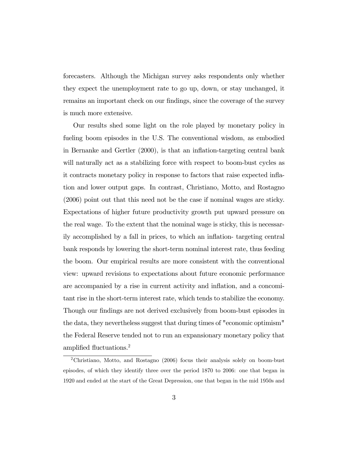forecasters. Although the Michigan survey asks respondents only whether they expect the unemployment rate to go up, down, or stay unchanged, it remains an important check on our findings, since the coverage of the survey is much more extensive.

Our results shed some light on the role played by monetary policy in fueling boom episodes in the U.S. The conventional wisdom, as embodied in Bernanke and Gertler (2000), is that an inflation-targeting central bank will naturally act as a stabilizing force with respect to boom-bust cycles as it contracts monetary policy in response to factors that raise expected inflation and lower output gaps. In contrast, Christiano, Motto, and Rostagno (2006) point out that this need not be the case if nominal wages are sticky. Expectations of higher future productivity growth put upward pressure on the real wage. To the extent that the nominal wage is sticky, this is necessarily accomplished by a fall in prices, to which an inflation- targeting central bank responds by lowering the short-term nominal interest rate, thus feeding the boom. Our empirical results are more consistent with the conventional view: upward revisions to expectations about future economic performance are accompanied by a rise in current activity and inflation, and a concomitant rise in the short-term interest rate, which tends to stabilize the economy. Though our findings are not derived exclusively from boom-bust episodes in the data, they nevertheless suggest that during times of "economic optimism" the Federal Reserve tended not to run an expansionary monetary policy that amplified fluctuations.<sup>2</sup>

<sup>2</sup>Christiano, Motto, and Rostagno (2006) focus their analysis solely on boom-bust episodes, of which they identify three over the period 1870 to 2006: one that began in 1920 and ended at the start of the Great Depression, one that began in the mid 1950s and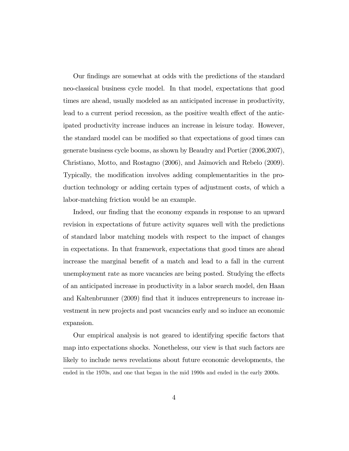Our findings are somewhat at odds with the predictions of the standard neo-classical business cycle model. In that model, expectations that good times are ahead, usually modeled as an anticipated increase in productivity, lead to a current period recession, as the positive wealth effect of the anticipated productivity increase induces an increase in leisure today. However, the standard model can be modified so that expectations of good times can generate business cycle booms, as shown by Beaudry and Portier (2006,2007), Christiano, Motto, and Rostagno (2006), and Jaimovich and Rebelo (2009). Typically, the modification involves adding complementarities in the production technology or adding certain types of adjustment costs, of which a labor-matching friction would be an example.

Indeed, our finding that the economy expands in response to an upward revision in expectations of future activity squares well with the predictions of standard labor matching models with respect to the impact of changes in expectations. In that framework, expectations that good times are ahead increase the marginal benefit of a match and lead to a fall in the current unemployment rate as more vacancies are being posted. Studying the effects of an anticipated increase in productivity in a labor search model, den Haan and Kaltenbrunner (2009) find that it induces entrepreneurs to increase investment in new projects and post vacancies early and so induce an economic expansion.

Our empirical analysis is not geared to identifying specific factors that map into expectations shocks. Nonetheless, our view is that such factors are likely to include news revelations about future economic developments, the ended in the 1970s, and one that began in the mid 1990s and ended in the early 2000s.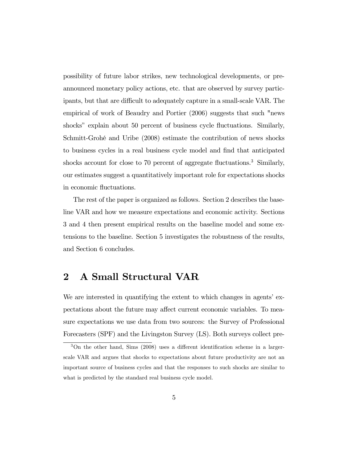possibility of future labor strikes, new technological developments, or preannounced monetary policy actions, etc. that are observed by survey participants, but that are difficult to adequately capture in a small-scale VAR. The empirical of work of Beaudry and Portier (2006) suggests that such "news shocks" explain about 50 percent of business cycle fluctuations. Similarly, Schmitt-Grohé and Uribe (2008) estimate the contribution of news shocks to business cycles in a real business cycle model and find that anticipated shocks account for close to 70 percent of aggregate fluctuations.<sup>3</sup> Similarly, our estimates suggest a quantitatively important role for expectations shocks in economic fluctuations.

The rest of the paper is organized as follows. Section 2 describes the baseline VAR and how we measure expectations and economic activity. Sections 3 and 4 then present empirical results on the baseline model and some extensions to the baseline. Section 5 investigates the robustness of the results, and Section 6 concludes.

### 2 A Small Structural VAR

We are interested in quantifying the extent to which changes in agents' expectations about the future may affect current economic variables. To measure expectations we use data from two sources: the Survey of Professional Forecasters (SPF) and the Livingston Survey (LS). Both surveys collect pre-

<sup>3</sup>On the other hand, Sims (2008) uses a different identification scheme in a largerscale VAR and argues that shocks to expectations about future productivity are not an important source of business cycles and that the responses to such shocks are similar to what is predicted by the standard real business cycle model.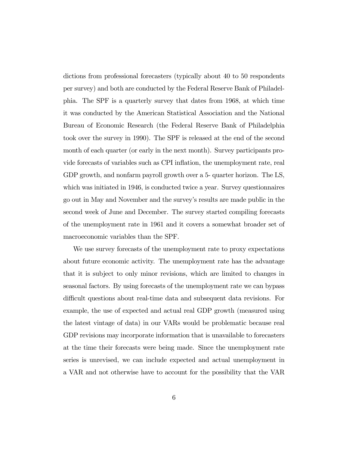dictions from professional forecasters (typically about 40 to 50 respondents per survey) and both are conducted by the Federal Reserve Bank of Philadelphia. The SPF is a quarterly survey that dates from 1968, at which time it was conducted by the American Statistical Association and the National Bureau of Economic Research (the Federal Reserve Bank of Philadelphia took over the survey in 1990). The SPF is released at the end of the second month of each quarter (or early in the next month). Survey participants provide forecasts of variables such as CPI inflation, the unemployment rate, real GDP growth, and nonfarm payroll growth over a 5- quarter horizon. The LS, which was initiated in 1946, is conducted twice a year. Survey questionnaires go out in May and November and the survey's results are made public in the second week of June and December. The survey started compiling forecasts of the unemployment rate in 1961 and it covers a somewhat broader set of macroeconomic variables than the SPF.

We use survey forecasts of the unemployment rate to proxy expectations about future economic activity. The unemployment rate has the advantage that it is subject to only minor revisions, which are limited to changes in seasonal factors. By using forecasts of the unemployment rate we can bypass difficult questions about real-time data and subsequent data revisions. For example, the use of expected and actual real GDP growth (measured using the latest vintage of data) in our VARs would be problematic because real GDP revisions may incorporate information that is unavailable to forecasters at the time their forecasts were being made. Since the unemployment rate series is unrevised, we can include expected and actual unemployment in a VAR and not otherwise have to account for the possibility that the VAR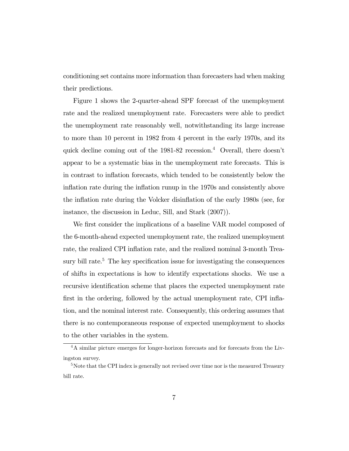conditioning set contains more information than forecasters had when making their predictions.

Figure 1 shows the 2-quarter-ahead SPF forecast of the unemployment rate and the realized unemployment rate. Forecasters were able to predict the unemployment rate reasonably well, notwithstanding its large increase to more than 10 percent in 1982 from 4 percent in the early 1970s, and its quick decline coming out of the 1981-82 recession.4 Overall, there doesn't appear to be a systematic bias in the unemployment rate forecasts. This is in contrast to inflation forecasts, which tended to be consistently below the inflation rate during the inflation runup in the 1970s and consistently above the inflation rate during the Volcker disinflation of the early 1980s (see, for instance, the discussion in Leduc, Sill, and Stark (2007)).

We first consider the implications of a baseline VAR model composed of the 6-month-ahead expected unemployment rate, the realized unemployment rate, the realized CPI inflation rate, and the realized nominal 3-month Treasury bill rate.<sup>5</sup> The key specification issue for investigating the consequences of shifts in expectations is how to identify expectations shocks. We use a recursive identification scheme that places the expected unemployment rate first in the ordering, followed by the actual unemployment rate, CPI inflation, and the nominal interest rate. Consequently, this ordering assumes that there is no contemporaneous response of expected unemployment to shocks to the other variables in the system.

<sup>&</sup>lt;sup>4</sup>A similar picture emerges for longer-horizon forecasts and for forecasts from the Livingston survey.

<sup>&</sup>lt;sup>5</sup>Note that the CPI index is generally not revised over time nor is the measured Treasury bill rate.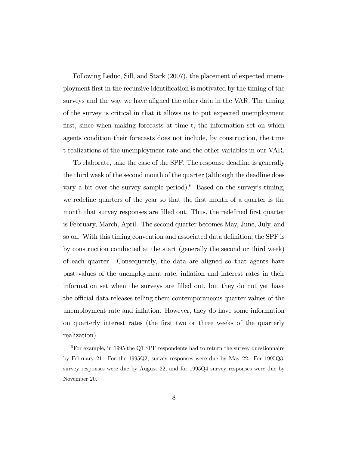Following Leduc, Sill, and Stark (2007), the placement of expected unemployment first in the recursive identification is motivated by the timing of the surveys and the way we have aligned the other data in the VAR. The timing of the survey is critical in that it allows us to put expected unemployment first, since when making forecasts at time t, the information set on which agents condition their forecasts does not include, by construction, the time t realizations of the unemployment rate and the other variables in our VAR.

To elaborate, take the case of the SPF. The response deadline is generally the third week of the second month of the quarter (although the deadline does vary a bit over the survey sample period).<sup>6</sup> Based on the survey's timing, we redefine quarters of the year so that the first month of a quarter is the month that survey responses are filled out. Thus, the redefined first quarter is February, March, April. The second quarter becomes May, June, July, and so on. With this timing convention and associated data definition, the SPF is by construction conducted at the start (generally the second or third week) of each quarter. Consequently, the data are aligned so that agents have past values of the unemployment rate, inflation and interest rates in their information set when the surveys are filled out, but they do not yet have the official data releases telling them contemporaneous quarter values of the unemployment rate and inflation. However, they do have some information on quarterly interest rates (the first two or three weeks of the quarterly realization).

 $6$ For example, in 1995 the Q1 SPF respondents had to return the survey questionnaire by February 21. For the 1995Q2, survey responses were due by May 22. For 1995Q3, survey responses were due by August 22, and for 1995Q4 survey responses were due by November 20.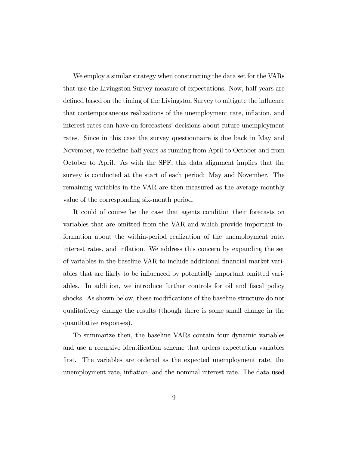We employ a similar strategy when constructing the data set for the VARs that use the Livingston Survey measure of expectations. Now, half-years are defined based on the timing of the Livingston Survey to mitigate the influence that contemporaneous realizations of the unemployment rate, inflation, and interest rates can have on forecasters' decisions about future unemployment rates. Since in this case the survey questionnaire is due back in May and November, we redefine half-years as running from April to October and from October to April. As with the SPF, this data alignment implies that the survey is conducted at the start of each period: May and November. The remaining variables in the VAR are then measured as the average monthly value of the corresponding six-month period.

It could of course be the case that agents condition their forecasts on variables that are omitted from the VAR and which provide important information about the within-period realization of the unemployment rate, interest rates, and inflation. We address this concern by expanding the set of variables in the baseline VAR to include additional financial market variables that are likely to be influenced by potentially important omitted variables. In addition, we introduce further controls for oil and fiscal policy shocks. As shown below, these modifications of the baseline structure do not qualitatively change the results (though there is some small change in the quantitative responses).

To summarize then, the baseline VARs contain four dynamic variables and use a recursive identification scheme that orders expectation variables first. The variables are ordered as the expected unemployment rate, the unemployment rate, inflation, and the nominal interest rate. The data used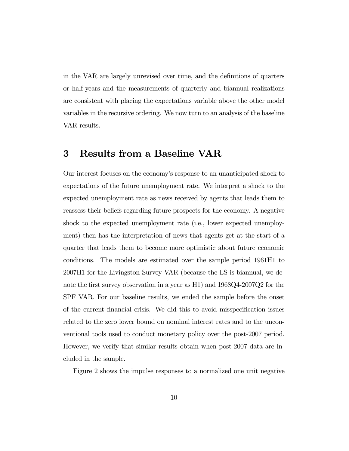in the VAR are largely unrevised over time, and the definitions of quarters or half-years and the measurements of quarterly and biannual realizations are consistent with placing the expectations variable above the other model variables in the recursive ordering. We now turn to an analysis of the baseline VAR results.

### 3 Results from a Baseline VAR

Our interest focuses on the economy's response to an unanticipated shock to expectations of the future unemployment rate. We interpret a shock to the expected unemployment rate as news received by agents that leads them to reassess their beliefs regarding future prospects for the economy. A negative shock to the expected unemployment rate (i.e., lower expected unemployment) then has the interpretation of news that agents get at the start of a quarter that leads them to become more optimistic about future economic conditions. The models are estimated over the sample period 1961H1 to 2007H1 for the Livingston Survey VAR (because the LS is biannual, we denote the first survey observation in a year as H1) and 1968Q4-2007Q2 for the SPF VAR. For our baseline results, we ended the sample before the onset of the current financial crisis. We did this to avoid misspecification issues related to the zero lower bound on nominal interest rates and to the unconventional tools used to conduct monetary policy over the post-2007 period. However, we verify that similar results obtain when post-2007 data are included in the sample.

Figure 2 shows the impulse responses to a normalized one unit negative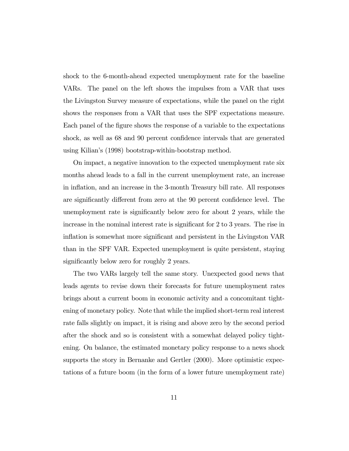shock to the 6-month-ahead expected unemployment rate for the baseline VARs. The panel on the left shows the impulses from a VAR that uses the Livingston Survey measure of expectations, while the panel on the right shows the responses from a VAR that uses the SPF expectations measure. Each panel of the figure shows the response of a variable to the expectations shock, as well as 68 and 90 percent confidence intervals that are generated using Kilian's (1998) bootstrap-within-bootstrap method.

On impact, a negative innovation to the expected unemployment rate six months ahead leads to a fall in the current unemployment rate, an increase in inflation, and an increase in the 3-month Treasury bill rate. All responses are significantly different from zero at the 90 percent confidence level. The unemployment rate is significantly below zero for about 2 years, while the increase in the nominal interest rate is significant for 2 to 3 years. The rise in inflation is somewhat more significant and persistent in the Livingston VAR than in the SPF VAR. Expected unemployment is quite persistent, staying significantly below zero for roughly 2 years.

The two VARs largely tell the same story. Unexpected good news that leads agents to revise down their forecasts for future unemployment rates brings about a current boom in economic activity and a concomitant tightening of monetary policy. Note that while the implied short-term real interest rate falls slightly on impact, it is rising and above zero by the second period after the shock and so is consistent with a somewhat delayed policy tightening. On balance, the estimated monetary policy response to a news shock supports the story in Bernanke and Gertler (2000). More optimistic expectations of a future boom (in the form of a lower future unemployment rate)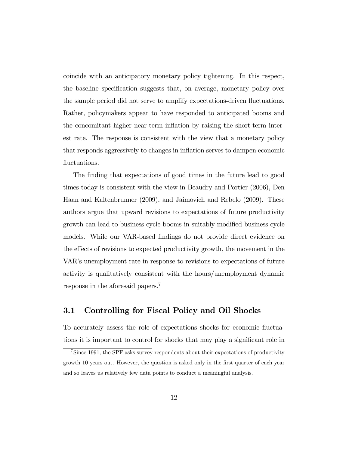coincide with an anticipatory monetary policy tightening. In this respect, the baseline specification suggests that, on average, monetary policy over the sample period did not serve to amplify expectations-driven fluctuations. Rather, policymakers appear to have responded to anticipated booms and the concomitant higher near-term inflation by raising the short-term interest rate. The response is consistent with the view that a monetary policy that responds aggressively to changes in inflation serves to dampen economic fluctuations.

The finding that expectations of good times in the future lead to good times today is consistent with the view in Beaudry and Portier (2006), Den Haan and Kaltenbrunner (2009), and Jaimovich and Rebelo (2009). These authors argue that upward revisions to expectations of future productivity growth can lead to business cycle booms in suitably modified business cycle models. While our VAR-based findings do not provide direct evidence on the effects of revisions to expected productivity growth, the movement in the VAR's unemployment rate in response to revisions to expectations of future activity is qualitatively consistent with the hours/unemployment dynamic response in the aforesaid papers.7

#### 3.1 Controlling for Fiscal Policy and Oil Shocks

To accurately assess the role of expectations shocks for economic fluctuations it is important to control for shocks that may play a significant role in

<sup>7</sup>Since 1991, the SPF asks survey respondents about their expectations of productivity growth 10 years out. However, the question is asked only in the first quarter of each year and so leaves us relatively few data points to conduct a meaningful analysis.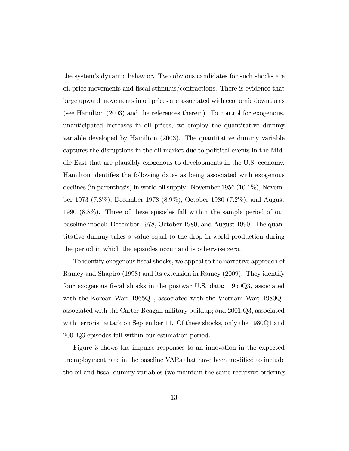the system's dynamic behavior. Two obvious candidates for such shocks are oil price movements and fiscal stimulus/contractions. There is evidence that large upward movements in oil prices are associated with economic downturns (see Hamilton (2003) and the references therein). To control for exogenous, unanticipated increases in oil prices, we employ the quantitative dummy variable developed by Hamilton (2003). The quantitative dummy variable captures the disruptions in the oil market due to political events in the Middle East that are plausibly exogenous to developments in the U.S. economy. Hamilton identifies the following dates as being associated with exogenous declines (in parenthesis) in world oil supply: November 1956 (10.1%), November 1973 (7.8%), December 1978 (8.9%), October 1980 (7.2%), and August 1990 (8.8%). Three of these episodes fall within the sample period of our baseline model: December 1978, October 1980, and August 1990. The quantitative dummy takes a value equal to the drop in world production during the period in which the episodes occur and is otherwise zero.

To identify exogenous fiscal shocks, we appeal to the narrative approach of Ramey and Shapiro (1998) and its extension in Ramey (2009). They identify four exogenous fiscal shocks in the postwar U.S. data: 1950Q3, associated with the Korean War; 1965Q1, associated with the Vietnam War; 1980Q1 associated with the Carter-Reagan military buildup; and 2001:Q3, associated with terrorist attack on September 11. Of these shocks, only the 1980Q1 and 2001Q3 episodes fall within our estimation period.

Figure 3 shows the impulse responses to an innovation in the expected unemployment rate in the baseline VARs that have been modified to include the oil and fiscal dummy variables (we maintain the same recursive ordering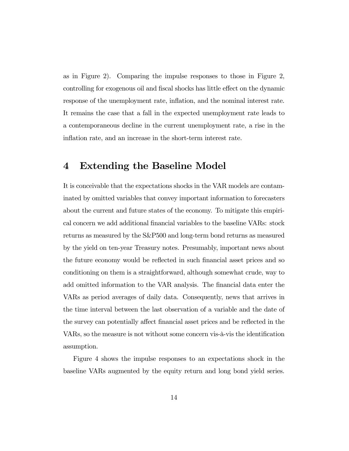as in Figure 2). Comparing the impulse responses to those in Figure 2, controlling for exogenous oil and fiscal shocks has little effect on the dynamic response of the unemployment rate, inflation, and the nominal interest rate. It remains the case that a fall in the expected unemployment rate leads to a contemporaneous decline in the current unemployment rate, a rise in the inflation rate, and an increase in the short-term interest rate.

### 4 Extending the Baseline Model

It is conceivable that the expectations shocks in the VAR models are contaminated by omitted variables that convey important information to forecasters about the current and future states of the economy. To mitigate this empirical concern we add additional financial variables to the baseline VARs: stock returns as measured by the S&P500 and long-term bond returns as measured by the yield on ten-year Treasury notes. Presumably, important news about the future economy would be reflected in such financial asset prices and so conditioning on them is a straightforward, although somewhat crude, way to add omitted information to the VAR analysis. The financial data enter the VARs as period averages of daily data. Consequently, news that arrives in the time interval between the last observation of a variable and the date of the survey can potentially affect financial asset prices and be reflected in the VARs, so the measure is not without some concern vis-à-vis the identification assumption.

Figure 4 shows the impulse responses to an expectations shock in the baseline VARs augmented by the equity return and long bond yield series.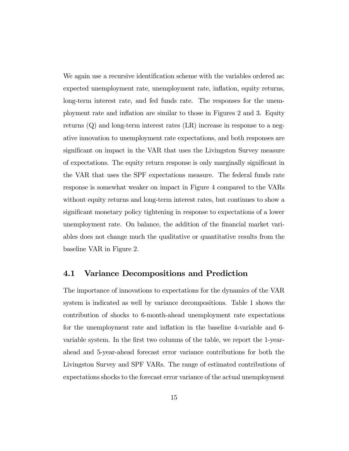We again use a recursive identification scheme with the variables ordered as: expected unemployment rate, unemployment rate, inflation, equity returns, long-term interest rate, and fed funds rate. The responses for the unemployment rate and inflation are similar to those in Figures 2 and 3. Equity returns  $(Q)$  and long-term interest rates  $(LR)$  increase in response to a negative innovation to unemployment rate expectations, and both responses are significant on impact in the VAR that uses the Livingston Survey measure of expectations. The equity return response is only marginally significant in the VAR that uses the SPF expectations measure. The federal funds rate response is somewhat weaker on impact in Figure 4 compared to the VARs without equity returns and long-term interest rates, but continues to show a significant monetary policy tightening in response to expectations of a lower unemployment rate. On balance, the addition of the financial market variables does not change much the qualitative or quantitative results from the baseline VAR in Figure 2.

#### 4.1 Variance Decompositions and Prediction

The importance of innovations to expectations for the dynamics of the VAR system is indicated as well by variance decompositions. Table 1 shows the contribution of shocks to 6-month-ahead unemployment rate expectations for the unemployment rate and inflation in the baseline 4-variable and 6 variable system. In the first two columns of the table, we report the 1-yearahead and 5-year-ahead forecast error variance contributions for both the Livingston Survey and SPF VARs. The range of estimated contributions of expectations shocks to the forecast error variance of the actual unemployment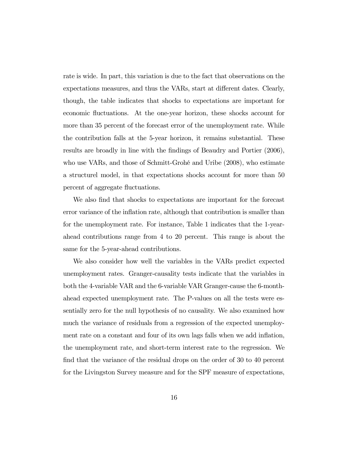rate is wide. In part, this variation is due to the fact that observations on the expectations measures, and thus the VARs, start at different dates. Clearly, though, the table indicates that shocks to expectations are important for economic fluctuations. At the one-year horizon, these shocks account for more than 35 percent of the forecast error of the unemployment rate. While the contribution falls at the 5-year horizon, it remains substantial. These results are broadly in line with the findings of Beaudry and Portier (2006), who use VARs, and those of Schmitt-Grohé and Uribe (2008), who estimate a structurel model, in that expectations shocks account for more than 50 percent of aggregate fluctuations.

We also find that shocks to expectations are important for the forecast error variance of the inflation rate, although that contribution is smaller than for the unemployment rate. For instance, Table 1 indicates that the 1-yearahead contributions range from 4 to 20 percent. This range is about the same for the 5-year-ahead contributions.

We also consider how well the variables in the VARs predict expected unemployment rates. Granger-causality tests indicate that the variables in both the 4-variable VAR and the 6-variable VAR Granger-cause the 6-monthahead expected unemployment rate. The P-values on all the tests were essentially zero for the null hypothesis of no causality. We also examined how much the variance of residuals from a regression of the expected unemployment rate on a constant and four of its own lags falls when we add inflation, the unemployment rate, and short-term interest rate to the regression. We find that the variance of the residual drops on the order of 30 to 40 percent for the Livingston Survey measure and for the SPF measure of expectations,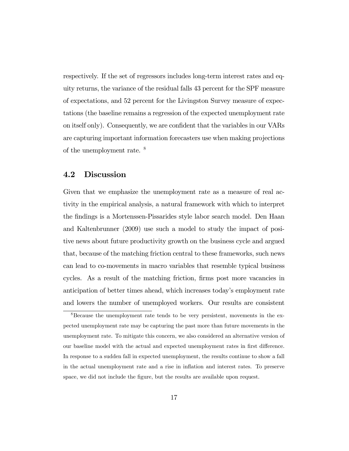respectively. If the set of regressors includes long-term interest rates and equity returns, the variance of the residual falls 43 percent for the SPF measure of expectations, and 52 percent for the Livingston Survey measure of expectations (the baseline remains a regression of the expected unemployment rate on itself only). Consequently, we are confident that the variables in our VARs are capturing important information forecasters use when making projections of the unemployment rate. <sup>8</sup>

#### 4.2 Discussion

Given that we emphasize the unemployment rate as a measure of real activity in the empirical analysis, a natural framework with which to interpret the findings is a Mortenssen-Pissarides style labor search model. Den Haan and Kaltenbrunner (2009) use such a model to study the impact of positive news about future productivity growth on the business cycle and argued that, because of the matching friction central to these frameworks, such news can lead to co-movements in macro variables that resemble typical business cycles. As a result of the matching friction, firms post more vacancies in anticipation of better times ahead, which increases today's employment rate and lowers the number of unemployed workers. Our results are consistent

 $8B$ ecause the unemployment rate tends to be very persistent, movements in the expected unemployment rate may be capturing the past more than future movements in the unemployment rate. To mitigate this concern, we also considered an alternative version of our baseline model with the actual and expected unemployment rates in first difference. In response to a sudden fall in expected unemployment, the results continue to show a fall in the actual unemployment rate and a rise in inflation and interest rates. To preserve space, we did not include the figure, but the results are available upon request.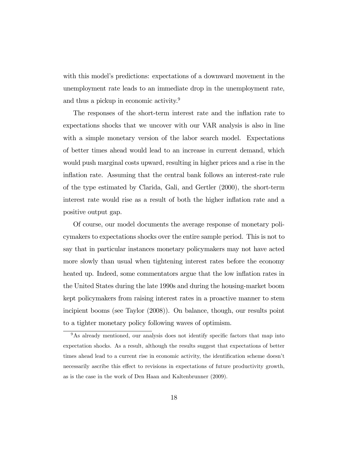with this model's predictions: expectations of a downward movement in the unemployment rate leads to an immediate drop in the unemployment rate, and thus a pickup in economic activity.9

The responses of the short-term interest rate and the inflation rate to expectations shocks that we uncover with our VAR analysis is also in line with a simple monetary version of the labor search model. Expectations of better times ahead would lead to an increase in current demand, which would push marginal costs upward, resulting in higher prices and a rise in the inflation rate. Assuming that the central bank follows an interest-rate rule of the type estimated by Clarida, Gali, and Gertler (2000), the short-term interest rate would rise as a result of both the higher inflation rate and a positive output gap.

Of course, our model documents the average response of monetary policymakers to expectations shocks over the entire sample period. This is not to say that in particular instances monetary policymakers may not have acted more slowly than usual when tightening interest rates before the economy heated up. Indeed, some commentators argue that the low inflation rates in the United States during the late 1990s and during the housing-market boom kept policymakers from raising interest rates in a proactive manner to stem incipient booms (see Taylor (2008)). On balance, though, our results point to a tighter monetary policy following waves of optimism.

<sup>&</sup>lt;sup>9</sup>As already mentioned, our analysis does not identify specific factors that map into expectation shocks. As a result, although the results suggest that expectations of better times ahead lead to a current rise in economic activity, the identification scheme doesn't necessarily ascribe this effect to revisions in expectations of future productivity growth, as is the case in the work of Den Haan and Kaltenbrunner (2009).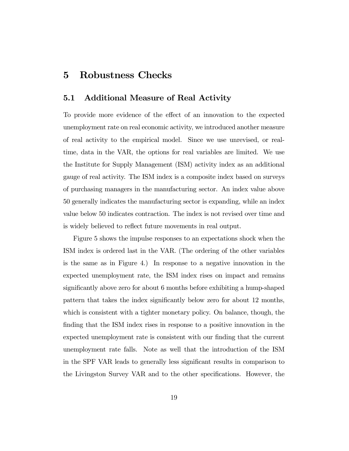### 5 Robustness Checks

#### 5.1 Additional Measure of Real Activity

To provide more evidence of the effect of an innovation to the expected unemployment rate on real economic activity, we introduced another measure of real activity to the empirical model. Since we use unrevised, or realtime, data in the VAR, the options for real variables are limited. We use the Institute for Supply Management (ISM) activity index as an additional gauge of real activity. The ISM index is a composite index based on surveys of purchasing managers in the manufacturing sector. An index value above 50 generally indicates the manufacturing sector is expanding, while an index value below 50 indicates contraction. The index is not revised over time and is widely believed to reflect future movements in real output.

Figure 5 shows the impulse responses to an expectations shock when the ISM index is ordered last in the VAR. (The ordering of the other variables is the same as in Figure 4.) In response to a negative innovation in the expected unemployment rate, the ISM index rises on impact and remains significantly above zero for about 6 months before exhibiting a hump-shaped pattern that takes the index significantly below zero for about 12 months, which is consistent with a tighter monetary policy. On balance, though, the finding that the ISM index rises in response to a positive innovation in the expected unemployment rate is consistent with our finding that the current unemployment rate falls. Note as well that the introduction of the ISM in the SPF VAR leads to generally less significant results in comparison to the Livingston Survey VAR and to the other specifications. However, the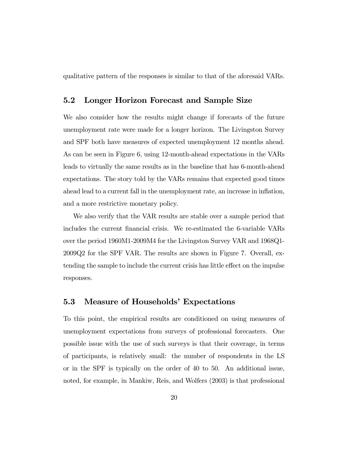qualitative pattern of the responses is similar to that of the aforesaid VARs.

#### 5.2 Longer Horizon Forecast and Sample Size

We also consider how the results might change if forecasts of the future unemployment rate were made for a longer horizon. The Livingston Survey and SPF both have measures of expected unemployment 12 months ahead. As can be seen in Figure 6, using 12-month-ahead expectations in the VARs leads to virtually the same results as in the baseline that has 6-month-ahead expectations. The story told by the VARs remains that expected good times ahead lead to a current fall in the unemployment rate, an increase in inflation, and a more restrictive monetary policy.

We also verify that the VAR results are stable over a sample period that includes the current financial crisis. We re-estimated the 6-variable VARs over the period 1960M1-2009M4 for the Livingston Survey VAR and 1968Q1- 2009Q2 for the SPF VAR. The results are shown in Figure 7. Overall, extending the sample to include the current crisis has little effect on the impulse responses.

#### 5.3 Measure of Households' Expectations

To this point, the empirical results are conditioned on using measures of unemployment expectations from surveys of professional forecasters. One possible issue with the use of such surveys is that their coverage, in terms of participants, is relatively small: the number of respondents in the LS or in the SPF is typically on the order of 40 to 50. An additional issue, noted, for example, in Mankiw, Reis, and Wolfers (2003) is that professional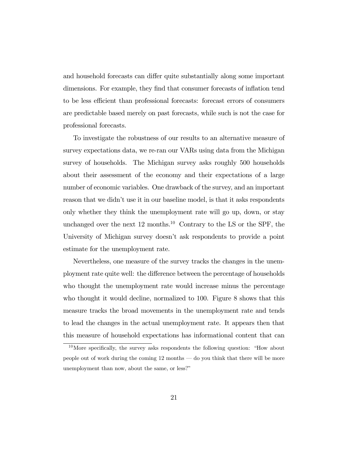and household forecasts can differ quite substantially along some important dimensions. For example, they find that consumer forecasts of inflation tend to be less efficient than professional forecasts: forecast errors of consumers are predictable based merely on past forecasts, while such is not the case for professional forecasts.

To investigate the robustness of our results to an alternative measure of survey expectations data, we re-ran our VARs using data from the Michigan survey of households. The Michigan survey asks roughly 500 households about their assessment of the economy and their expectations of a large number of economic variables. One drawback of the survey, and an important reason that we didn't use it in our baseline model, is that it asks respondents only whether they think the unemployment rate will go up, down, or stay unchanged over the next  $12$  months.<sup>10</sup> Contrary to the LS or the SPF, the University of Michigan survey doesn't ask respondents to provide a point estimate for the unemployment rate.

Nevertheless, one measure of the survey tracks the changes in the unemployment rate quite well: the difference between the percentage of households who thought the unemployment rate would increase minus the percentage who thought it would decline, normalized to 100. Figure 8 shows that this measure tracks the broad movements in the unemployment rate and tends to lead the changes in the actual unemployment rate. It appears then that this measure of household expectations has informational content that can

 $10$ More specifically, the survey asks respondents the following question: "How about people out of work during the coming 12 months – do you think that there will be more unemployment than now, about the same, or less?"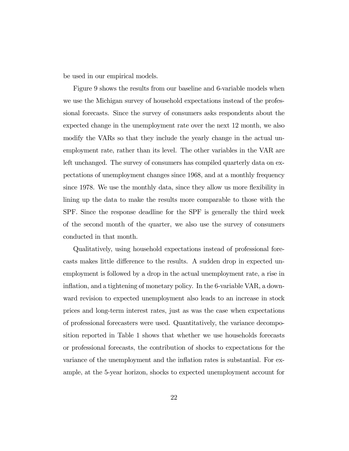be used in our empirical models.

Figure 9 shows the results from our baseline and 6-variable models when we use the Michigan survey of household expectations instead of the professional forecasts. Since the survey of consumers asks respondents about the expected change in the unemployment rate over the next 12 month, we also modify the VARs so that they include the yearly change in the actual unemployment rate, rather than its level. The other variables in the VAR are left unchanged. The survey of consumers has compiled quarterly data on expectations of unemployment changes since 1968, and at a monthly frequency since 1978. We use the monthly data, since they allow us more flexibility in lining up the data to make the results more comparable to those with the SPF. Since the response deadline for the SPF is generally the third week of the second month of the quarter, we also use the survey of consumers conducted in that month.

Qualitatively, using household expectations instead of professional forecasts makes little difference to the results. A sudden drop in expected unemployment is followed by a drop in the actual unemployment rate, a rise in inflation, and a tightening of monetary policy. In the 6-variable VAR, a downward revision to expected unemployment also leads to an increase in stock prices and long-term interest rates, just as was the case when expectations of professional forecasters were used. Quantitatively, the variance decomposition reported in Table 1 shows that whether we use households forecasts or professional forecasts, the contribution of shocks to expectations for the variance of the unemployment and the inflation rates is substantial. For example, at the 5-year horizon, shocks to expected unemployment account for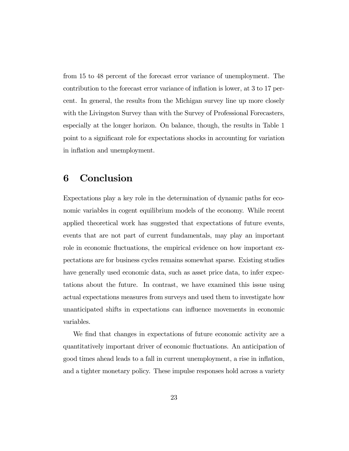from 15 to 48 percent of the forecast error variance of unemployment. The contribution to the forecast error variance of inflation is lower, at 3 to 17 percent. In general, the results from the Michigan survey line up more closely with the Livingston Survey than with the Survey of Professional Forecasters, especially at the longer horizon. On balance, though, the results in Table 1 point to a significant role for expectations shocks in accounting for variation in inflation and unemployment.

### 6 Conclusion

Expectations play a key role in the determination of dynamic paths for economic variables in cogent equilibrium models of the economy. While recent applied theoretical work has suggested that expectations of future events, events that are not part of current fundamentals, may play an important role in economic fluctuations, the empirical evidence on how important expectations are for business cycles remains somewhat sparse. Existing studies have generally used economic data, such as asset price data, to infer expectations about the future. In contrast, we have examined this issue using actual expectations measures from surveys and used them to investigate how unanticipated shifts in expectations can influence movements in economic variables.

We find that changes in expectations of future economic activity are a quantitatively important driver of economic fluctuations. An anticipation of good times ahead leads to a fall in current unemployment, a rise in inflation, and a tighter monetary policy. These impulse responses hold across a variety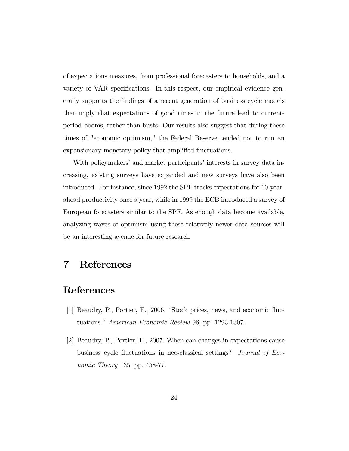of expectations measures, from professional forecasters to households, and a variety of VAR specifications. In this respect, our empirical evidence generally supports the findings of a recent generation of business cycle models that imply that expectations of good times in the future lead to currentperiod booms, rather than busts. Our results also suggest that during these times of "economic optimism," the Federal Reserve tended not to run an expansionary monetary policy that amplified fluctuations.

With policymakers' and market participants' interests in survey data increasing, existing surveys have expanded and new surveys have also been introduced. For instance, since 1992 the SPF tracks expectations for 10-yearahead productivity once a year, while in 1999 the ECB introduced a survey of European forecasters similar to the SPF. As enough data become available, analyzing waves of optimism using these relatively newer data sources will be an interesting avenue for future research

### 7 References

### References

- [1] Beaudry, P., Portier, F., 2006. "Stock prices, news, and economic fluctuations." American Economic Review 96, pp. 1293-1307.
- [2] Beaudry, P., Portier, F., 2007. When can changes in expectations cause business cycle fluctuations in neo-classical settings? Journal of Economic Theory 135, pp. 458-77.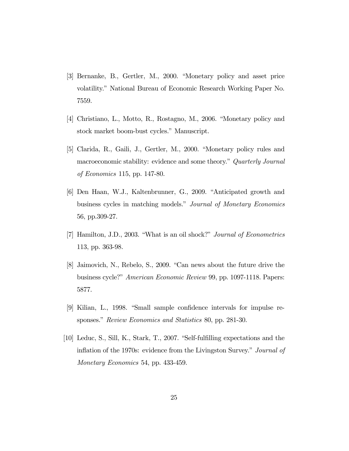- [3] Bernanke, B., Gertler, M., 2000. "Monetary policy and asset price volatility." National Bureau of Economic Research Working Paper No. 7559.
- [4] Christiano, L., Motto, R., Rostagno, M., 2006. "Monetary policy and stock market boom-bust cycles." Manuscript.
- [5] Clarida, R., Gaili, J., Gertler, M., 2000. "Monetary policy rules and macroeconomic stability: evidence and some theory." Quarterly Journal of Economics 115, pp. 147-80.
- [6] Den Haan, W.J., Kaltenbrunner, G., 2009. "Anticipated growth and business cycles in matching models." Journal of Monetary Economics 56, pp.309-27.
- [7] Hamilton, J.D., 2003. "What is an oil shock?" Journal of Econometrics 113, pp. 363-98.
- [8] Jaimovich, N., Rebelo, S., 2009. "Can news about the future drive the business cycle?" American Economic Review 99, pp. 1097-1118. Papers: 5877.
- [9] Kilian, L., 1998. "Small sample confidence intervals for impulse responses." *Review Economics and Statistics 80*, pp. 281-30.
- [10] Leduc, S., Sill, K., Stark, T., 2007. "Self-fulfilling expectations and the inflation of the 1970s: evidence from the Livingston Survey." Journal of Monetary Economics 54, pp. 433-459.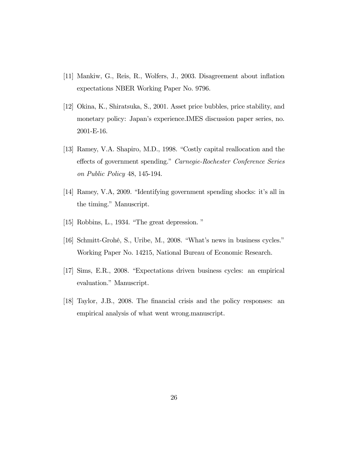- [11] Mankiw, G., Reis, R., Wolfers, J., 2003. Disagreement about inflation expectations NBER Working Paper No. 9796.
- [12] Okina, K., Shiratsuka, S., 2001. Asset price bubbles, price stability, and monetary policy: Japan's experience.IMES discussion paper series, no. 2001-E-16.
- [13] Ramey, V.A. Shapiro, M.D., 1998. "Costly capital reallocation and the effects of government spending." Carnegie-Rochester Conference Series on Public Policy 48, 145-194.
- [14] Ramey, V.A, 2009. "Identifying government spending shocks: it's all in the timing." Manuscript.
- [15] Robbins, L., 1934. "The great depression. "
- [16] Schmitt-Grohé, S., Uribe, M., 2008. "What's news in business cycles." Working Paper No. 14215, National Bureau of Economic Research.
- [17] Sims, E.R., 2008. "Expectations driven business cycles: an empirical evaluation." Manuscript.
- [18] Taylor, J.B., 2008. The financial crisis and the policy responses: an empirical analysis of what went wrong.manuscript.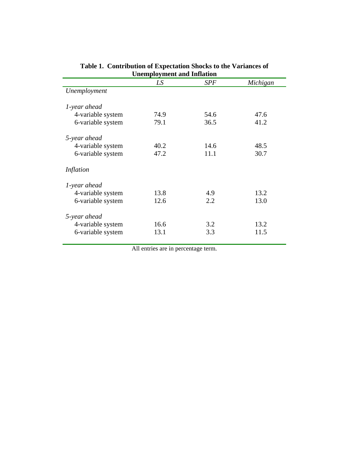| Unemployment and Inflation |      |            |          |
|----------------------------|------|------------|----------|
|                            | LS   | <b>SPF</b> | Michigan |
| Unemployment               |      |            |          |
| 1-year ahead               |      |            |          |
| 4-variable system          | 74.9 | 54.6       | 47.6     |
| 6-variable system          | 79.1 | 36.5       | 41.2     |
| 5-year ahead               |      |            |          |
| 4-variable system          | 40.2 | 14.6       | 48.5     |
| 6-variable system          | 47.2 | 11.1       | 30.7     |
| Inflation                  |      |            |          |
| 1-year ahead               |      |            |          |
| 4-variable system          | 13.8 | 4.9        | 13.2     |
| 6-variable system          | 12.6 | 2.2        | 13.0     |
| 5-year ahead               |      |            |          |
| 4-variable system          | 16.6 | 3.2        | 13.2     |
| 6-variable system          | 13.1 | 3.3        | 11.5     |

| Table 1. Contribution of Expectation Shocks to the Variances of |
|-----------------------------------------------------------------|
| <b>Unemployment and Inflation</b>                               |

All entries are in percentage term.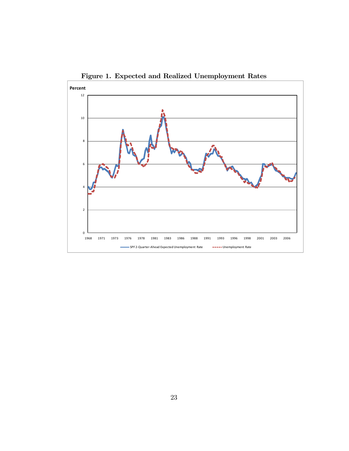

Figure 1. Expected and Realized Unemployment Rates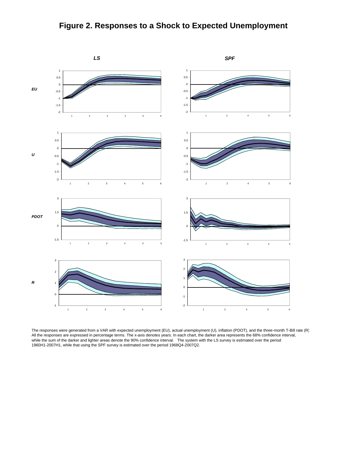



The responses were generated from a VAR with expected unemployment (EU), actual unemployment (U), inflation (PDOT), and the three-month T-Bill rate (R) All the responses are expressed in percentage terms. The x-axis denotes years. In each chart, the darker area represents the 68% confidence interval, while the sum of the darker and lighter areas denote the 90% confidence interval. The system with the LS survey is estimated over the period 1960H1-2007H1, while that using the SPF survey is estimated over the period 1968Q4-2007Q2.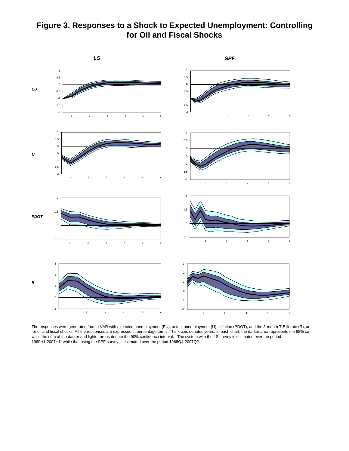### **Figure 3. Responses to a Shock to Expected Unemployment: Controlling for Oil and Fiscal Shocks**



The responses were generated from a VAR with expected unemployment (EU), actual unemployment (U), inflation (PDOT), and the 3-month T-Billt rate (R), an for oil and fiscal shocks. All the responses are expressed in percentage terms. The x-axis denotes years. In each chart, the darker area represents the 68% co while the sum of the darker and lighter areas denote the 90% confidence interval. The system with the LS survey is estimated over the period 1960H1-2007H1, while that using the SPF survey is estimated over the period 1968Q4-2007Q2.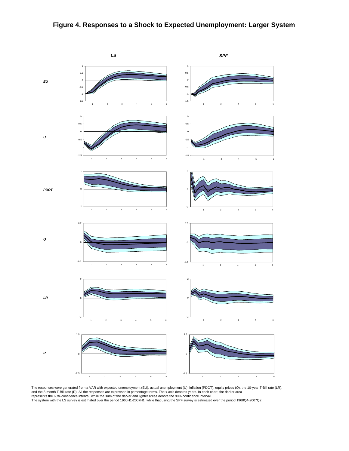#### **Figure 4. Responses to a Shock to Expected Unemployment: Larger System**



The responses were generated from a VAR with expected unemployment (EU), actual unemployment (U), inflation (PDOT), equity prices (Q), the 10-year T-Bill rate (LR),<br>and the 3-month T-Bill rate (R). All the responses are ex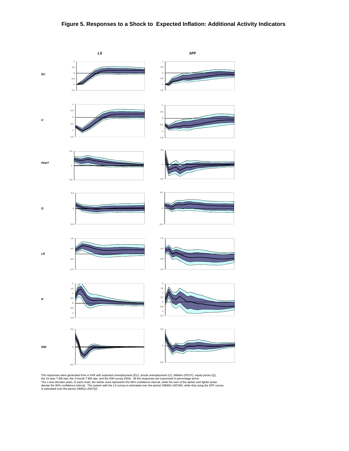#### **Figure 5. Responses to a Shock to Expected Inflation: Additional Activity Indicators**



The responses were generated from a VAR with expected unemployment (EU), actual unemployment (U), inflation (PDOT), equity prices (Q),<br>the 10-year T-Bill rate, the 3-month T-Bill rate, and the ISM survey (ISM). All the res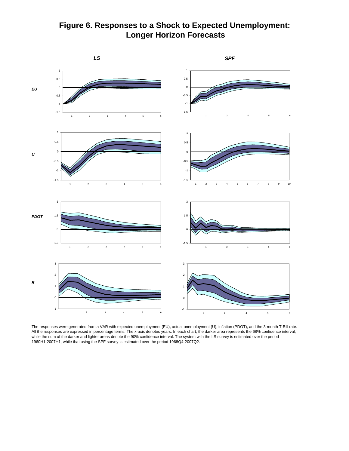## **Figure 6. Responses to a Shock to Expected Unemployment: Longer Horizon Forecasts**



The responses were generated from a VAR with expected unemployment (EU), actual unemployment (U), inflation (PDOT), and the 3-month T-Bill rate. All the responses are expressed in percentage terms. The x-axis denotes years. In each chart, the darker area represents the 68% confidence interval, while the sum of the darker and lighter areas denote the 90% confidence interval. The system with the LS survey is estimated over the period 1960H1-2007H1, while that using the SPF survey is estimated over the period 1968Q4-2007Q2.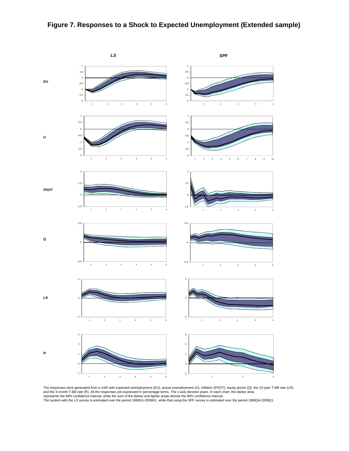#### **Figure 7. Responses to a Shock to Expected Unemployment (Extended sample)**



The responses were generated from a VAR with expected unemployment (EU), actual unemployment (U), inflation (PDOT), equity prices (Q), the 10-year T-Bill rate (LR),<br>and the 3-month T-Bill rate (R). All the responses are ex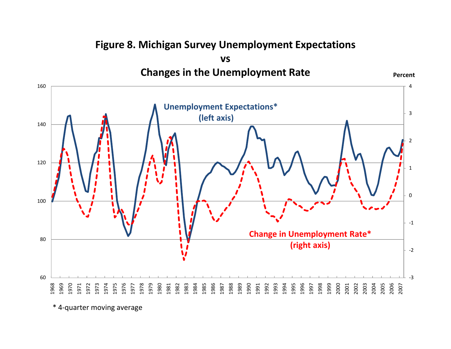#### 0 1 2 3 **vs Changes in the Unemployment Rate Unemployment Expectations\* (left axis) Percent**‐3‐2 ‐1 1969 1982 1995 1997 1999 2001<br>2003 2005<br>2005 2006<br>2007 **Change in Unemployment Rate\* (right axis)**

**Figure 8. Michigan Survey Unemployment Expectations**

\* 4‐quarter moving average